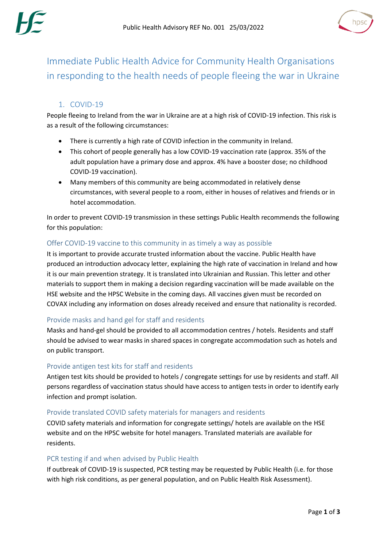



Immediate Public Health Advice for Community Health Organisations in responding to the health needs of people fleeing the war in Ukraine

# 1. COVID-19

People fleeing to Ireland from the war in Ukraine are at a high risk of COVID-19 infection. This risk is as a result of the following circumstances:

- There is currently a high rate of COVID infection in the community in Ireland.
- This cohort of people generally has a low COVID-19 vaccination rate (approx. 35% of the adult population have a primary dose and approx. 4% have a booster dose; no childhood COVID-19 vaccination).
- Many members of this community are being accommodated in relatively dense circumstances, with several people to a room, either in houses of relatives and friends or in hotel accommodation.

In order to prevent COVID-19 transmission in these settings Public Health recommends the following for this population:

# Offer COVID-19 vaccine to this community in as timely a way as possible

It is important to provide accurate trusted information about the vaccine. Public Health have produced an introduction advocacy letter, explaining the high rate of vaccination in Ireland and how it is our main prevention strategy. It is translated into Ukrainian and Russian. This letter and other materials to support them in making a decision regarding vaccination will be made available on the HSE website and the HPSC Website in the coming days. All vaccines given must be recorded on COVAX including any information on doses already received and ensure that nationality is recorded.

## Provide masks and hand gel for staff and residents

Masks and hand-gel should be provided to all accommodation centres / hotels. Residents and staff should be advised to wear masks in shared spaces in congregate accommodation such as hotels and on public transport.

## Provide antigen test kits for staff and residents

Antigen test kits should be provided to hotels / congregate settings for use by residents and staff. All persons regardless of vaccination status should have access to antigen tests in order to identify early infection and prompt isolation.

## Provide translated COVID safety materials for managers and residents

COVID safety materials and information for congregate settings/ hotels are available on the HSE website and on the HPSC website for hotel managers. Translated materials are available for residents.

## PCR testing if and when advised by Public Health

If outbreak of COVID-19 is suspected, PCR testing may be requested by Public Health (i.e. for those with high risk conditions, as per general population, and on Public Health Risk Assessment).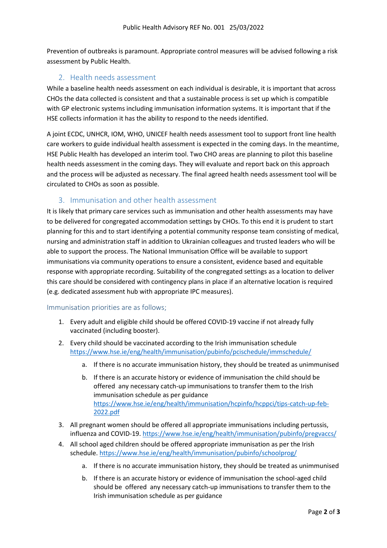Prevention of outbreaks is paramount. Appropriate control measures will be advised following a risk assessment by Public Health.

## 2. Health needs assessment

While a baseline health needs assessment on each individual is desirable, it is important that across CHOs the data collected is consistent and that a sustainable process is set up which is compatible with GP electronic systems including immunisation information systems. It is important that if the HSE collects information it has the ability to respond to the needs identified.

A joint ECDC, UNHCR, IOM, WHO, UNICEF health needs assessment tool to support front line health care workers to guide individual health assessment is expected in the coming days. In the meantime, HSE Public Health has developed an interim tool. Two CHO areas are planning to pilot this baseline health needs assessment in the coming days. They will evaluate and report back on this approach and the process will be adjusted as necessary. The final agreed health needs assessment tool will be circulated to CHOs as soon as possible.

# 3. Immunisation and other health assessment

It is likely that primary care services such as immunisation and other health assessments may have to be delivered for congregated accommodation settings by CHOs. To this end it is prudent to start planning for this and to start identifying a potential community response team consisting of medical, nursing and administration staff in addition to Ukrainian colleagues and trusted leaders who will be able to support the process. The National Immunisation Office will be available to support immunisations via community operations to ensure a consistent, evidence based and equitable response with appropriate recording. Suitability of the congregated settings as a location to deliver this care should be considered with contingency plans in place if an alternative location is required (e.g. dedicated assessment hub with appropriate IPC measures).

#### Immunisation priorities are as follows;

- 1. Every adult and eligible child should be offered COVID-19 vaccine if not already fully vaccinated (including booster).
- 2. Every child should be vaccinated according to the Irish immunisation schedule <https://www.hse.ie/eng/health/immunisation/pubinfo/pcischedule/immschedule/>
	- a. If there is no accurate immunisation history, they should be treated as unimmunised
	- b. If there is an accurate history or evidence of immunisation the child should be offered any necessary catch-up immunisations to transfer them to the Irish immunisation schedule as per guidance [https://www.hse.ie/eng/health/immunisation/hcpinfo/hcppci/tips-catch-up-feb-](https://www.hse.ie/eng/health/immunisation/hcpinfo/hcppci/tips-catch-up-feb-2022.pdf)[2022.pdf](https://www.hse.ie/eng/health/immunisation/hcpinfo/hcppci/tips-catch-up-feb-2022.pdf)
- 3. All pregnant women should be offered all appropriate immunisations including pertussis, influenza and COVID-19[. https://www.hse.ie/eng/health/immunisation/pubinfo/pregvaccs/](https://www.hse.ie/eng/health/immunisation/pubinfo/pregvaccs/)
- 4. All school aged children should be offered appropriate immunisation as per the Irish schedule.<https://www.hse.ie/eng/health/immunisation/pubinfo/schoolprog/>
	- a. If there is no accurate immunisation history, they should be treated as unimmunised
	- b. If there is an accurate history or evidence of immunisation the school-aged child should be offered any necessary catch-up immunisations to transfer them to the Irish immunisation schedule as per guidance